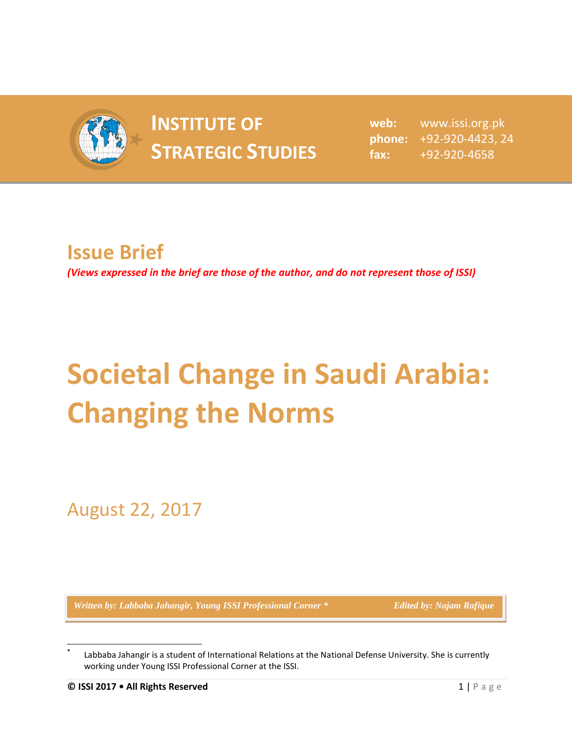

## **INSTITUTE OF INSTITUTE OF** web:<br> **STRATEGIC STUDIES**  $_{\text{fax:}}^{\text{phone:}}$

**web:** www.issi.org.pk **phone:** +92-920-4423, 24 **fax:** +92-920-4658

## **Issue Brief**

*(Views expressed in the brief are those of the author, and do not represent those of ISSI)*

## **Societal Change in Saudi Arabia: Changing the Norms**

August 22, 2017

*Written by: Labbaba Jahangir, Young ISSI Professional Corner \* Edited by: Najam Rafique* 

l

**<sup>\*</sup>** Labbaba Jahangir is a student of International Relations at the National Defense University. She is currently working under Young ISSI Professional Corner at the ISSI.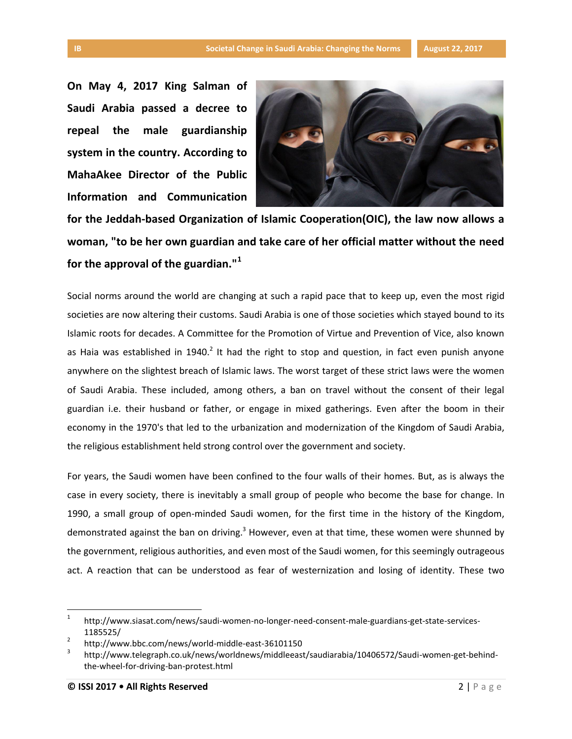**On May 4, 2017 King Salman of Saudi Arabia passed a decree to repeal the male guardianship system in the country. According to MahaAkee Director of the Public Information and Communication** 



**for the Jeddah-based Organization of Islamic Cooperation(OIC), the law now allows a woman, "to be her own guardian and take care of her official matter without the need for the approval of the guardian."<sup>1</sup>**

Social norms around the world are changing at such a rapid pace that to keep up, even the most rigid societies are now altering their customs. Saudi Arabia is one of those societies which stayed bound to its Islamic roots for decades. A Committee for the Promotion of Virtue and Prevention of Vice, also known as Haia was established in 1940.<sup>2</sup> It had the right to stop and question, in fact even punish anyone anywhere on the slightest breach of Islamic laws. The worst target of these strict laws were the women of Saudi Arabia. These included, among others, a ban on travel without the consent of their legal guardian i.e. their husband or father, or engage in mixed gatherings. Even after the boom in their economy in the 1970's that led to the urbanization and modernization of the Kingdom of Saudi Arabia, the religious establishment held strong control over the government and society.

For years, the Saudi women have been confined to the four walls of their homes. But, as is always the case in every society, there is inevitably a small group of people who become the base for change. In 1990, a small group of open-minded Saudi women, for the first time in the history of the Kingdom, demonstrated against the ban on driving.<sup>3</sup> However, even at that time, these women were shunned by the government, religious authorities, and even most of the Saudi women, for this seemingly outrageous act. A reaction that can be understood as fear of westernization and losing of identity. These two

l

<sup>1</sup> http://www.siasat.com/news/saudi-women-no-longer-need-consent-male-guardians-get-state-services-1185525/

<sup>2</sup> http://www.bbc.com/news/world-middle-east-36101150

<sup>3</sup> http://www.telegraph.co.uk/news/worldnews/middleeast/saudiarabia/10406572/Saudi-women-get-behindthe-wheel-for-driving-ban-protest.html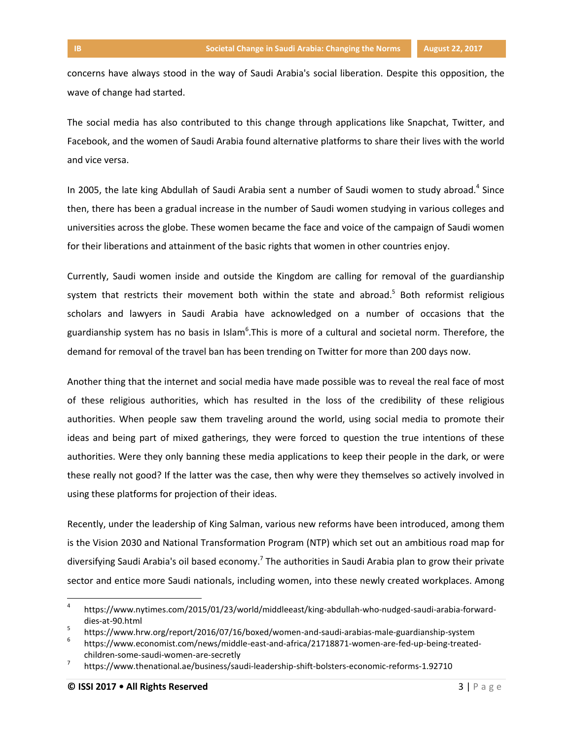concerns have always stood in the way of Saudi Arabia's social liberation. Despite this opposition, the wave of change had started.

The social media has also contributed to this change through applications like Snapchat, Twitter, and Facebook, and the women of Saudi Arabia found alternative platforms to share their lives with the world and vice versa.

In 2005, the late king Abdullah of Saudi Arabia sent a number of Saudi women to study abroad.<sup>4</sup> Since then, there has been a gradual increase in the number of Saudi women studying in various colleges and universities across the globe. These women became the face and voice of the campaign of Saudi women for their liberations and attainment of the basic rights that women in other countries enjoy.

Currently, Saudi women inside and outside the Kingdom are calling for removal of the guardianship system that restricts their movement both within the state and abroad.<sup>5</sup> Both reformist religious scholars and lawyers in Saudi Arabia have acknowledged on a number of occasions that the guardianship system has no basis in Islam<sup>6</sup>. This is more of a cultural and societal norm. Therefore, the demand for removal of the travel ban has been trending on Twitter for more than 200 days now.

Another thing that the internet and social media have made possible was to reveal the real face of most of these religious authorities, which has resulted in the loss of the credibility of these religious authorities. When people saw them traveling around the world, using social media to promote their ideas and being part of mixed gatherings, they were forced to question the true intentions of these authorities. Were they only banning these media applications to keep their people in the dark, or were these really not good? If the latter was the case, then why were they themselves so actively involved in using these platforms for projection of their ideas.

Recently, under the leadership of King Salman, various new reforms have been introduced, among them is the Vision 2030 and National Transformation Program (NTP) which set out an ambitious road map for diversifying Saudi Arabia's oil based economy.<sup>7</sup> The authorities in Saudi Arabia plan to grow their private sector and entice more Saudi nationals, including women, into these newly created workplaces. Among

 $\overline{a}$ 

<sup>4</sup> https://www.nytimes.com/2015/01/23/world/middleeast/king-abdullah-who-nudged-saudi-arabia-forwarddies-at-90.html

<sup>5</sup> https://www.hrw.org/report/2016/07/16/boxed/women-and-saudi-arabias-male-guardianship-system

<sup>6</sup> https://www.economist.com/news/middle-east-and-africa/21718871-women-are-fed-up-being-treatedchildren-some-saudi-women-are-secretly

<sup>7</sup> https://www.thenational.ae/business/saudi-leadership-shift-bolsters-economic-reforms-1.92710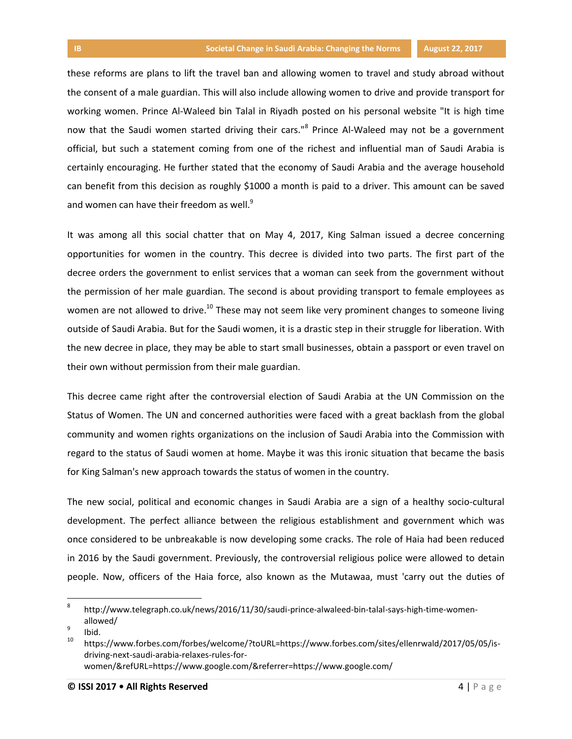these reforms are plans to lift the travel ban and allowing women to travel and study abroad without the consent of a male guardian. This will also include allowing women to drive and provide transport for working women. Prince Al-Waleed bin Talal in Riyadh posted on his personal website "It is high time now that the Saudi women started driving their cars."<sup>8</sup> Prince Al-Waleed may not be a government official, but such a statement coming from one of the richest and influential man of Saudi Arabia is certainly encouraging. He further stated that the economy of Saudi Arabia and the average household can benefit from this decision as roughly \$1000 a month is paid to a driver. This amount can be saved and women can have their freedom as well. $9$ 

It was among all this social chatter that on May 4, 2017, King Salman issued a decree concerning opportunities for women in the country. This decree is divided into two parts. The first part of the decree orders the government to enlist services that a woman can seek from the government without the permission of her male guardian. The second is about providing transport to female employees as women are not allowed to drive.<sup>10</sup> These may not seem like very prominent changes to someone living outside of Saudi Arabia. But for the Saudi women, it is a drastic step in their struggle for liberation. With the new decree in place, they may be able to start small businesses, obtain a passport or even travel on their own without permission from their male guardian.

This decree came right after the controversial election of Saudi Arabia at the UN Commission on the Status of Women. The UN and concerned authorities were faced with a great backlash from the global community and women rights organizations on the inclusion of Saudi Arabia into the Commission with regard to the status of Saudi women at home. Maybe it was this ironic situation that became the basis for King Salman's new approach towards the status of women in the country.

The new social, political and economic changes in Saudi Arabia are a sign of a healthy socio-cultural development. The perfect alliance between the religious establishment and government which was once considered to be unbreakable is now developing some cracks. The role of Haia had been reduced in 2016 by the Saudi government. Previously, the controversial religious police were allowed to detain people. Now, officers of the Haia force, also known as the Mutawaa, must 'carry out the duties of

 $\overline{a}$ 

<sup>8</sup> http://www.telegraph.co.uk/news/2016/11/30/saudi-prince-alwaleed-bin-talal-says-high-time-womenallowed/

<sup>9</sup> Ibid.

<sup>10</sup> https://www.forbes.com/forbes/welcome/?toURL=https://www.forbes.com/sites/ellenrwald/2017/05/05/isdriving-next-saudi-arabia-relaxes-rules-forwomen/&refURL=https://www.google.com/&referrer=https://www.google.com/